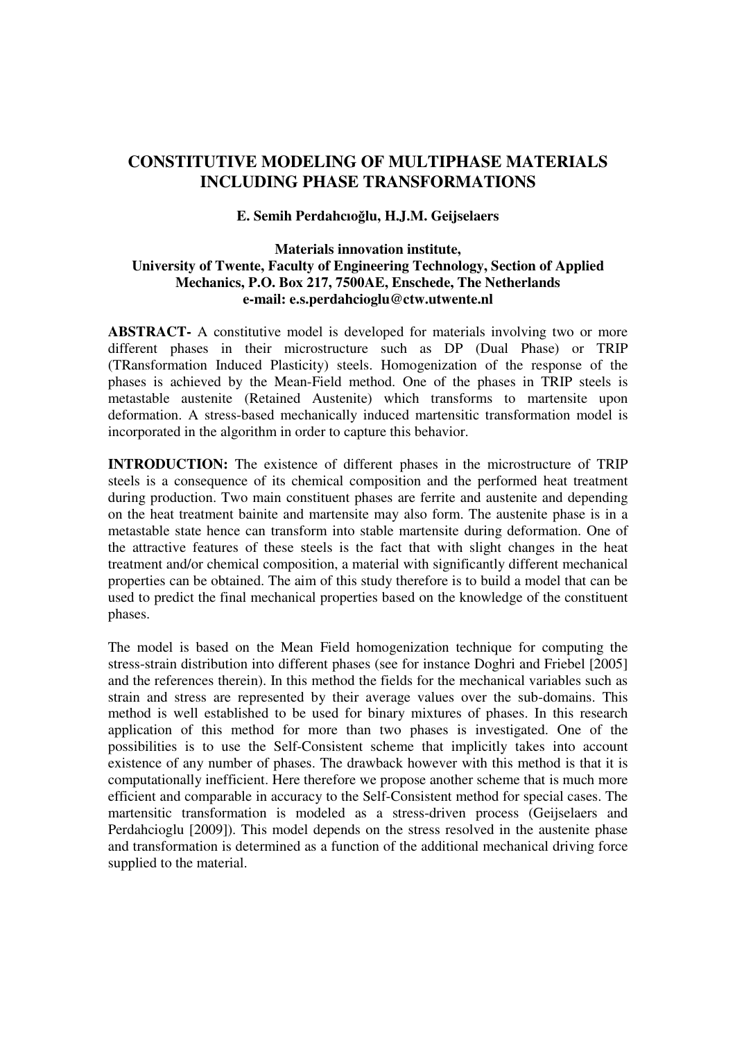## **CONSTITUTIVE MODELING OF MULTIPHASE MATERIALS INCLUDING PHASE TRANSFORMATIONS**

## **E. Semih Perdahcıolu, H.J.M. Geijselaers**

## **Materials innovation institute, University of Twente, Faculty of Engineering Technology, Section of Applied Mechanics, P.O. Box 217, 7500AE, Enschede, The Netherlands e-mail: e.s.perdahcioglu@ctw.utwente.nl**

**ABSTRACT-** A constitutive model is developed for materials involving two or more different phases in their microstructure such as DP (Dual Phase) or TRIP (TRansformation Induced Plasticity) steels. Homogenization of the response of the phases is achieved by the Mean-Field method. One of the phases in TRIP steels is metastable austenite (Retained Austenite) which transforms to martensite upon deformation. A stress-based mechanically induced martensitic transformation model is incorporated in the algorithm in order to capture this behavior.

**INTRODUCTION:** The existence of different phases in the microstructure of TRIP steels is a consequence of its chemical composition and the performed heat treatment during production. Two main constituent phases are ferrite and austenite and depending on the heat treatment bainite and martensite may also form. The austenite phase is in a metastable state hence can transform into stable martensite during deformation. One of the attractive features of these steels is the fact that with slight changes in the heat treatment and/or chemical composition, a material with significantly different mechanical properties can be obtained. The aim of this study therefore is to build a model that can be used to predict the final mechanical properties based on the knowledge of the constituent phases.

The model is based on the Mean Field homogenization technique for computing the stress-strain distribution into different phases (see for instance Doghri and Friebel [2005] and the references therein). In this method the fields for the mechanical variables such as strain and stress are represented by their average values over the sub-domains. This method is well established to be used for binary mixtures of phases. In this research application of this method for more than two phases is investigated. One of the possibilities is to use the Self-Consistent scheme that implicitly takes into account existence of any number of phases. The drawback however with this method is that it is computationally inefficient. Here therefore we propose another scheme that is much more efficient and comparable in accuracy to the Self-Consistent method for special cases. The martensitic transformation is modeled as a stress-driven process (Geijselaers and Perdahcioglu [2009]). This model depends on the stress resolved in the austenite phase and transformation is determined as a function of the additional mechanical driving force supplied to the material.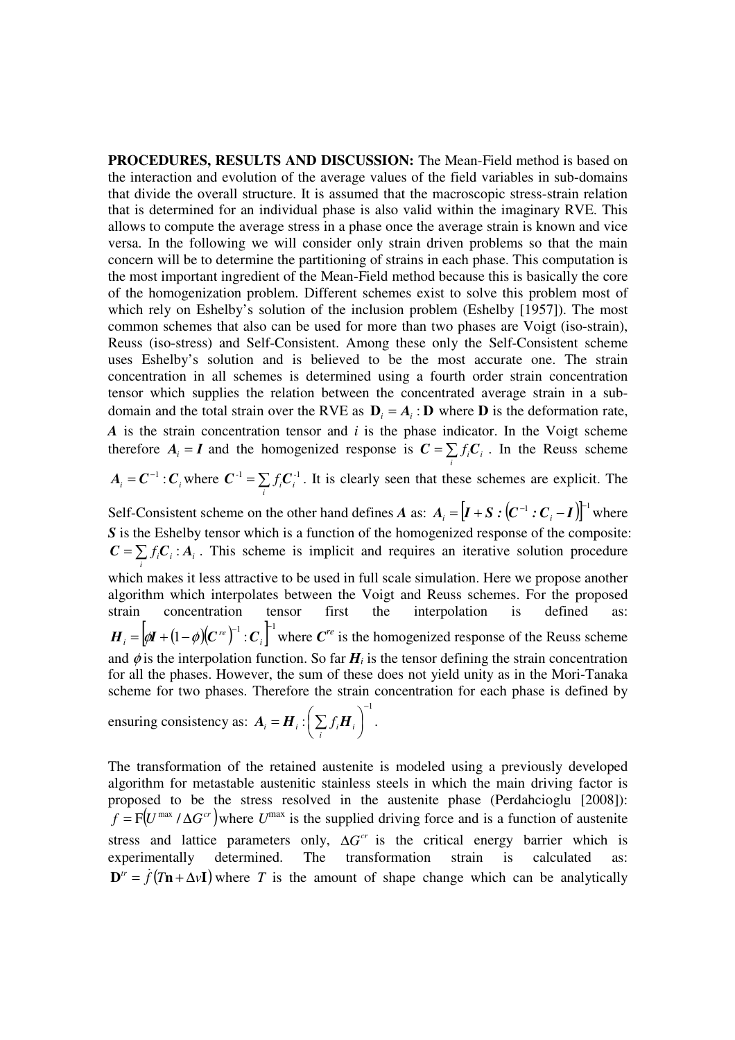**PROCEDURES, RESULTS AND DISCUSSION:** The Mean-Field method is based on the interaction and evolution of the average values of the field variables in sub-domains that divide the overall structure. It is assumed that the macroscopic stress-strain relation that is determined for an individual phase is also valid within the imaginary RVE. This allows to compute the average stress in a phase once the average strain is known and vice versa. In the following we will consider only strain driven problems so that the main concern will be to determine the partitioning of strains in each phase. This computation is the most important ingredient of the Mean-Field method because this is basically the core of the homogenization problem. Different schemes exist to solve this problem most of which rely on Eshelby's solution of the inclusion problem (Eshelby [1957]). The most common schemes that also can be used for more than two phases are Voigt (iso-strain), Reuss (iso-stress) and Self-Consistent. Among these only the Self-Consistent scheme uses Eshelby's solution and is believed to be the most accurate one. The strain concentration in all schemes is determined using a fourth order strain concentration tensor which supplies the relation between the concentrated average strain in a subdomain and the total strain over the RVE as  $D_i = A_i$ : **D** where **D** is the deformation rate, *A* is the strain concentration tensor and *i* is the phase indicator. In the Voigt scheme therefore  $A_i = I$  and the homogenized response is  $C = \sum$  $\mathbf{C} = \sum_i f_i \mathbf{C}_i$ . In the Reuss scheme

$$
A_i = C^{-1} : C_i
$$
 where  $C^{-1} = \sum_i f_i C_i^{-1}$ . It is clearly seen that these schemes are explicit. The

Self-Consistent scheme on the other hand defines *A* as:  $A_i = [I + S : (C^{-1} : C_i - I)]^{-1}$  where *S* is the Eshelby tensor which is a function of the homogenized response of the composite:  $=\sum$  $\mathbf{C} = \sum_i f_i \mathbf{C}_i : \mathbf{A}_i$ . This scheme is implicit and requires an iterative solution procedure which makes it less attractive to be used in full scale simulation. Here we propose another algorithm which interpolates between the Voigt and Reuss schemes. For the proposed strain concentration tensor first the interpolation is defined as:  $H_i = [\phi I + (1-\phi)(C^{re})^{-1}:C_i]$  where  $C^{re}$  is the homogenized response of the Reuss scheme and  $\phi$  is the interpolation function. So far  $H_i$  is the tensor defining the strain concentration for all the phases. However, the sum of these does not yield unity as in the Mori-Tanaka scheme for two phases. Therefore the strain concentration for each phase is defined by 1 −

ensuring consistency as: 
$$
\mathbf{A}_i = \mathbf{H}_i : \left(\sum_i f_i \mathbf{H}_i\right)^{-1}
$$
.

The transformation of the retained austenite is modeled using a previously developed algorithm for metastable austenitic stainless steels in which the main driving factor is proposed to be the stress resolved in the austenite phase (Perdahcioglu [2008]):  $f = F(U^{\max}/\Delta G^{cr})$  where  $U^{\max}$  is the supplied driving force and is a function of austenite stress and lattice parameters only,  $\Delta G^{cr}$  is the critical energy barrier which is experimentally determined. The transformation strain is calculated as:  $\mathbf{D}^{\prime\prime} = \dot{f}(T\mathbf{n} + \Delta v \mathbf{I})$  where *T* is the amount of shape change which can be analytically